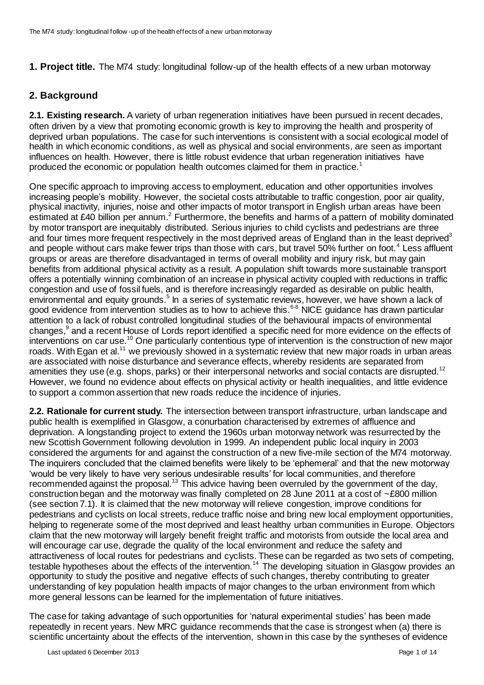**1. Project title.** The M74 study: longitudinal follow-up of the health effects of a new urban motorway

### **2. Background**

**2.1. Existing research.** A variety of urban regeneration initiatives have been pursued in recent decades, often driven by a view that promoting economic growth is key to improving the health and prosperity of deprived urban populations. The case for such interventions is consistent with a social ecological model of health in which economic conditions, as well as physical and social environments, are seen as important influences on health. However, there is little robust evidence that urban regeneration initiatives have produced the economic or population health outcomes claimed for them in practice.<sup>1</sup>

One specific approach to improving access to employment, education and other opportunities involves increasing people's mobility. However, the societal costs attributable to traffic congestion, poor air quality, physical inactivity, injuries, noise and other impacts of motor transport in English urban areas have been estimated at £40 billion per annum.<sup>2</sup> Furthermore, the benefits and harms of a pattern of mobility dominated by motor transport are inequitably distributed. Serious injuries to child cyclists and pedestrians are three and four times more frequent respectively in the most deprived areas of England than in the least deprived<sup>3</sup> and people without cars make fewer trips than those with cars, but travel 50% further on foot.<sup>4</sup> Less affluent groups or areas are therefore disadvantaged in terms of overall mobility and injury risk, but may gain benefits from additional physical activity as a result. A population shift towards more sustainable transport offers a potentially winning combination of an increase in physical activity coupled with reductions in traffic congestion and use of fossil fuels, and is therefore increasingly regarded as desirable on public health, environmental and equity grounds.<sup>5</sup> In a series of systematic reviews, however, we have shown a lack of good evidence from intervention studies as to how to achieve this.<sup>6-8</sup> NICE guidance has drawn particular attention to a lack of robust controlled longitudinal studies of the behavioural impacts of environmental changes,<sup>9</sup> and a recent House of Lords report identified a specific need for more evidence on the effects of interventions on car use.<sup>10</sup> One particularly contentious type of intervention is the construction of new major roads. With Egan et al.<sup>11</sup> we previously showed in a systematic review that new major roads in urban areas are associated with noise disturbance and severance effects, whereby residents are separated from amenities they use (e.g. shops, parks) or their interpersonal networks and social contacts are disrupted.<sup>12</sup> However, we found no evidence about effects on physical activity or health inequalities, and little evidence to support a common assertion that new roads reduce the incidence of injuries.

**2.2. Rationale for current study.** The intersection between transport infrastructure, urban landscape and public health is exemplified in Glasgow, a conurbation characterised by extremes of affluence and deprivation. A longstanding project to extend the 1960s urban motorway network was resurrected by the new Scottish Government following devolution in 1999. An independent public local inquiry in 2003 considered the arguments for and against the construction of a new five-mile section of the M74 motorway. The inquirers concluded that the claimed benefits were likely to be 'ephemeral' and that the new motorway 'would be very likely to have very serious undesirable results' for local communities, and therefore recommended against the proposal.<sup>13</sup> This advice having been overruled by the government of the day, construction began and the motorway was finally completed on 28 June 2011 at a cost of ~£800 million (see section 7.1). It is claimed that the new motorway will relieve congestion, improve conditions for pedestrians and cyclists on local streets, reduce traffic noise and bring new local employment opportunities, helping to regenerate some of the most deprived and least healthy urban communities in Europe. Objectors claim that the new motorway will largely benefit freight traffic and motorists from outside the local area and will encourage car use, degrade the quality of the local environment and reduce the safety and attractiveness of local routes for pedestrians and cyclists. These can be regarded as two sets of competing, testable hypotheses about the effects of the intervention.<sup>14</sup> The developing situation in Glasgow provides an opportunity to study the positive and negative effects of such changes, thereby contributing to greater understanding of key population health impacts of major changes to the urban environment from which more general lessons can be learned for the implementation of future initiatives.

The case for taking advantage of such opportunities for 'natural experimental studies' has been made repeatedly in recent years. New MRC guidance recommends that the case is strongest when (a) there is scientific uncertainty about the effects of the intervention, shown in this case by the syntheses of evidence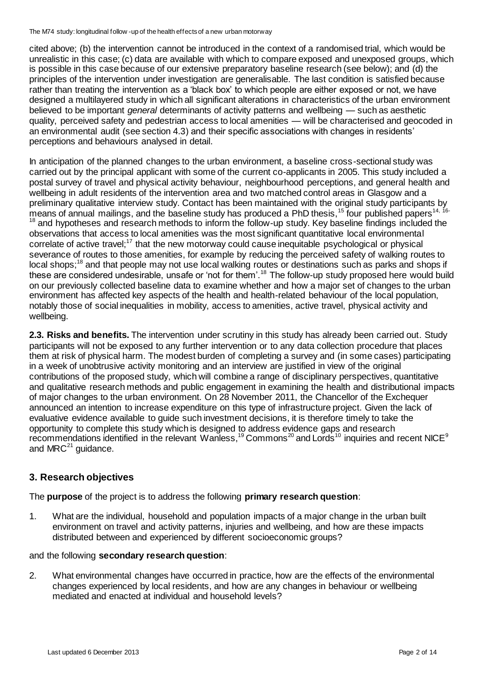cited above; (b) the intervention cannot be introduced in the context of a randomised trial, which would be unrealistic in this case; (c) data are available with which to compare exposed and unexposed groups, which is possible in this case because of our extensive preparatory baseline research (see below); and (d) the principles of the intervention under investigation are generalisable. The last condition is satisfied because rather than treating the intervention as a 'black box' to which people are either exposed or not, we have designed a multilayered study in which all significant alterations in characteristics of the urban environment believed to be important *general* determinants of activity patterns and wellbeing — such as aesthetic quality, perceived safety and pedestrian access to local amenities — will be characterised and geocoded in an environmental audit (see section 4.3) and their specific associations with changes in residents' perceptions and behaviours analysed in detail.

In anticipation of the planned changes to the urban environment, a baseline cross-sectional study was carried out by the principal applicant with some of the current co-applicants in 2005. This study included a postal survey of travel and physical activity behaviour, neighbourhood perceptions, and general health and wellbeing in adult residents of the intervention area and two matched control areas in Glasgow and a preliminary qualitative interview study. Contact has been maintained with the original study participants by means of annual mailings, and the baseline study has produced a PhD thesis,<sup>15</sup> four published papers<sup>14, 16-</sup> <sup>18</sup> and hypotheses and research methods to inform the follow-up study. Key baseline findings included the observations that access to local amenities was the most significant quantitative local environmental correlate of active travel;<sup>17</sup> that the new motorway could cause inequitable psychological or physical severance of routes to those amenities, for example by reducing the perceived safety of walking routes to local shops;<sup>18</sup> and that people may not use local walking routes or destinations such as parks and shops if these are considered undesirable, unsafe or 'not for them'.<sup>18</sup> The follow-up study proposed here would build on our previously collected baseline data to examine whether and how a major set of changes to the urban environment has affected key aspects of the health and health-related behaviour of the local population, notably those of social inequalities in mobility, access to amenities, active travel, physical activity and wellbeing.

**2.3. Risks and benefits.** The intervention under scrutiny in this study has already been carried out. Study participants will not be exposed to any further intervention or to any data collection procedure that places them at risk of physical harm. The modest burden of completing a survey and (in some cases) participating in a week of unobtrusive activity monitoring and an interview are justified in view of the original contributions of the proposed study, which will combine a range of disciplinary perspectives, quantitative and qualitative research methods and public engagement in examining the health and distributional impacts of major changes to the urban environment. On 28 November 2011, the Chancellor of the Exchequer announced an intention to increase expenditure on this type of infrastructure project. Given the lack of evaluative evidence available to guide such investment decisions, it is therefore timely to take the opportunity to complete this study which is designed to address evidence gaps and research recommendations identified in the relevant Wanless,<sup>19</sup> Commons<sup>20</sup> and Lords<sup>10</sup> inquiries and recent NICE<sup>9</sup> and  $MRC<sup>21</sup>$  guidance.

## **3. Research objectives**

The **purpose** of the project is to address the following **primary research question**:

1. What are the individual, household and population impacts of a major change in the urban built environment on travel and activity patterns, injuries and wellbeing, and how are these impacts distributed between and experienced by different socioeconomic groups?

#### and the following **secondary research question**:

2. What environmental changes have occurred in practice, how are the effects of the environmental changes experienced by local residents, and how are any changes in behaviour or wellbeing mediated and enacted at individual and household levels?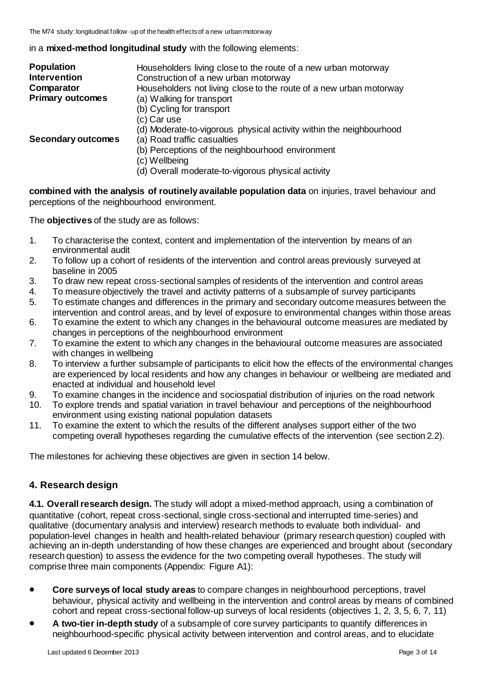in a **mixed-method longitudinal study** with the following elements:

| <b>Population</b>         | Householders living close to the route of a new urban motorway      |
|---------------------------|---------------------------------------------------------------------|
| <b>Intervention</b>       | Construction of a new urban motorway                                |
| Comparator                | Householders not living close to the route of a new urban motorway  |
| <b>Primary outcomes</b>   | (a) Walking for transport                                           |
|                           | (b) Cycling for transport                                           |
|                           | (c) Car use                                                         |
|                           | (d) Moderate-to-vigorous physical activity within the neighbourhood |
| <b>Secondary outcomes</b> | (a) Road traffic casualties                                         |
|                           | (b) Perceptions of the neighbourhood environment                    |
|                           | (c) Wellbeing                                                       |
|                           | (d) Overall moderate-to-vigorous physical activity                  |

**combined with the analysis of routinely available population data** on injuries, travel behaviour and perceptions of the neighbourhood environment.

The **objectives** of the study are as follows:

- 1. To characterise the context, content and implementation of the intervention by means of an environmental audit
- 2. To follow up a cohort of residents of the intervention and control areas previously surveyed at baseline in 2005
- 3. To draw new repeat cross-sectional samples of residents of the intervention and control areas
- 4. To measure objectively the travel and activity patterns of a subsample of survey participants
- 5. To estimate changes and differences in the primary and secondary outcome measures between the intervention and control areas, and by level of exposure to environmental changes within those areas
- 6. To examine the extent to which any changes in the behavioural outcome measures are mediated by changes in perceptions of the neighbourhood environment
- 7. To examine the extent to which any changes in the behavioural outcome measures are associated with changes in wellbeing
- 8. To interview a further subsample of participants to elicit how the effects of the environmental changes are experienced by local residents and how any changes in behaviour or wellbeing are mediated and enacted at individual and household level
- 9. To examine changes in the incidence and sociospatial distribution of injuries on the road network
- 10. To explore trends and spatial variation in travel behaviour and perceptions of the neighbourhood environment using existing national population datasets
- 11. To examine the extent to which the results of the different analyses support either of the two competing overall hypotheses regarding the cumulative effects of the intervention (see section 2.2).

The milestones for achieving these objectives are given in section 14 below.

## **4. Research design**

**4.1. Overall research design.** The study will adopt a mixed-method approach, using a combination of quantitative (cohort, repeat cross-sectional, single cross-sectional and interrupted time-series) and qualitative (documentary analysis and interview) research methods to evaluate both individual- and population-level changes in health and health-related behaviour (primary research question) coupled with achieving an in-depth understanding of how these changes are experienced and brought about (secondary research question) to assess the evidence for the two competing overall hypotheses. The study will comprise three main components (Appendix: Figure A1):

- **Core surveys of local study areas** to compare changes in neighbourhood perceptions, travel behaviour, physical activity and wellbeing in the intervention and control areas by means of combined cohort and repeat cross-sectional follow-up surveys of local residents (objectives 1, 2, 3, 5, 6, 7, 11)
- **A two-tier in-depth study** of a subsample of core survey participants to quantify differences in neighbourhood-specific physical activity between intervention and control areas, and to elucidate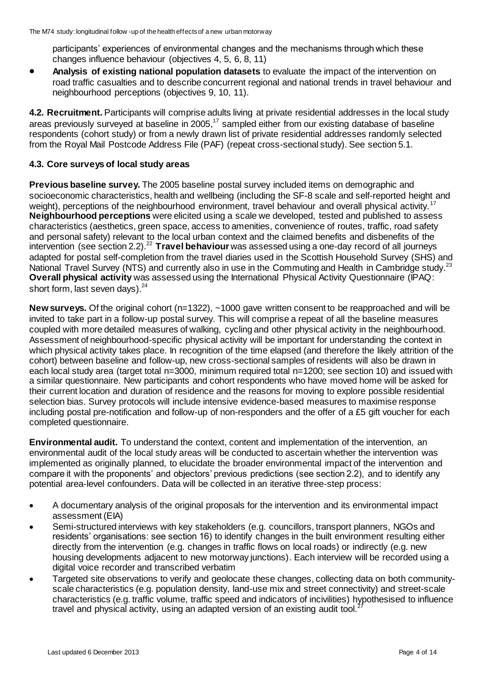participants' experiences of environmental changes and the mechanisms through which these changes influence behaviour (objectives 4, 5, 6, 8, 11)

 **Analysis of existing national population datasets** to evaluate the impact of the intervention on road traffic casualties and to describe concurrent regional and national trends in travel behaviour and neighbourhood perceptions (objectives 9, 10, 11).

**4.2. Recruitment.** Participants will comprise adults living at private residential addresses in the local study areas previously surveyed at baseline in 2005,<sup>17</sup> sampled either from our existing database of baseline respondents (cohort study) or from a newly drawn list of private residential addresses randomly selected from the Royal Mail Postcode Address File (PAF) (repeat cross-sectional study). See section 5.1.

#### **4.3. Core surveys of local study areas**

**Previous baseline survey.** The 2005 baseline postal survey included items on demographic and socioeconomic characteristics, health and wellbeing (including the SF-8 scale and self-reported height and weight), perceptions of the neighbourhood environment, travel behaviour and overall physical activity.<sup>17</sup> **Neighbourhood perceptions** were elicited using a scale we developed, tested and published to assess characteristics (aesthetics, green space, access to amenities, convenience of routes, traffic, road safety and personal safety) relevant to the local urban context and the claimed benefits and disbenefits of the intervention (see section 2.2).<sup>22</sup> **Travel behaviour** was assessed using a one-day record of all journeys adapted for postal self-completion from the travel diaries used in the Scottish Household Survey (SHS) and National Travel Survey (NTS) and currently also in use in the Commuting and Health in Cambridge study.<sup>23</sup> **Overall physical activity** was assessed using the International Physical Activity Questionnaire (IPAQ: short form, last seven days).<sup>24</sup>

**New surveys.** Of the original cohort (n=1322), ~1000 gave written consent to be reapproached and will be invited to take part in a follow-up postal survey. This will comprise a repeat of all the baseline measures coupled with more detailed measures of walking, cycling and other physical activity in the neighbourhood. Assessment of neighbourhood-specific physical activity will be important for understanding the context in which physical activity takes place. In recognition of the time elapsed (and therefore the likely attrition of the cohort) between baseline and follow-up, new cross-sectional samples of residents will also be drawn in each local study area (target total n=3000, minimum required total n=1200; see section 10) and issued with a similar questionnaire. New participants and cohort respondents who have moved home will be asked for their current location and duration of residence and the reasons for moving to explore possible residential selection bias. Survey protocols will include intensive evidence-based measures to maximise response including postal pre-notification and follow-up of non-responders and the offer of a £5 gift voucher for each completed questionnaire.

**Environmental audit.** To understand the context, content and implementation of the intervention, an environmental audit of the local study areas will be conducted to ascertain whether the intervention was implemented as originally planned, to elucidate the broader environmental impact of the intervention and compare it with the proponents' and objectors' previous predictions (see section 2.2), and to identify any potential area-level confounders. Data will be collected in an iterative three-step process:

- A documentary analysis of the original proposals for the intervention and its environmental impact assessment (EIA)
- Semi-structured interviews with key stakeholders (e.g. councillors, transport planners, NGOs and residents' organisations: see section 16) to identify changes in the built environment resulting either directly from the intervention (e.g. changes in traffic flows on local roads) or indirectly (e.g. new housing developments adjacent to new motorway junctions). Each interview will be recorded using a digital voice recorder and transcribed verbatim
- Targeted site observations to verify and geolocate these changes, collecting data on both communityscale characteristics (e.g. population density, land-use mix and street connectivity) and street-scale characteristics (e.g. traffic volume, traffic speed and indicators of incivilities) hypothesised to influence travel and physical activity, using an adapted version of an existing audit tool.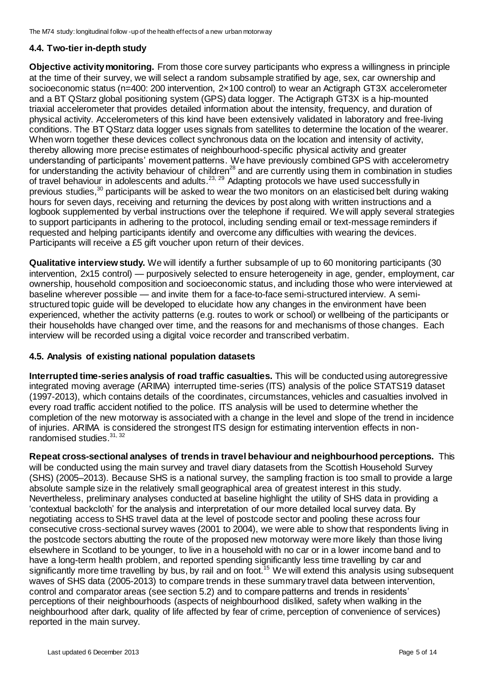### **4.4. Two-tier in-depth study**

**Objective activity monitoring.** From those core survey participants who express a willingness in principle at the time of their survey, we will select a random subsample stratified by age, sex, car ownership and socioeconomic status (n=400: 200 intervention, 2×100 control) to wear an Actigraph GT3X accelerometer and a BT QStarz global positioning system (GPS) data logger. The Actigraph GT3X is a hip-mounted triaxial accelerometer that provides detailed information about the intensity, frequency, and duration of physical activity. Accelerometers of this kind have been extensively validated in laboratory and free-living conditions. The BT QStarz data logger uses signals from satellites to determine the location of the wearer. When worn together these devices collect synchronous data on the location and intensity of activity, thereby allowing more precise estimates of neighbourhood-specific physical activity and greater understanding of participants' movement patterns. We have previously combined GPS with accelerometry for understanding the activity behaviour of children<sup>28</sup> and are currently using them in combination in studies of travel behaviour in adolescents and adults.23, 29 Adapting protocols we have used successfully in previous studies,<sup>30</sup> participants will be asked to wear the two monitors on an elasticised belt during waking hours for seven days, receiving and returning the devices by post along with written instructions and a logbook supplemented by verbal instructions over the telephone if required. We will apply several strategies to support participants in adhering to the protocol, including sending email or text-message reminders if requested and helping participants identify and overcome any difficulties with wearing the devices. Participants will receive a £5 gift voucher upon return of their devices.

**Qualitative interview study.** We will identify a further subsample of up to 60 monitoring participants (30 intervention, 2x15 control) — purposively selected to ensure heterogeneity in age, gender, employment, car ownership, household composition and socioeconomic status, and including those who were interviewed at baseline wherever possible — and invite them for a face-to-face semi-structured interview. A semistructured topic guide will be developed to elucidate how any changes in the environment have been experienced, whether the activity patterns (e.g. routes to work or school) or wellbeing of the participants or their households have changed over time, and the reasons for and mechanisms of those changes. Each interview will be recorded using a digital voice recorder and transcribed verbatim.

#### **4.5. Analysis of existing national population datasets**

**Interrupted time-series analysis of road traffic casualties.** This will be conducted using autoregressive integrated moving average (ARIMA) interrupted time-series (ITS) analysis of the police STATS19 dataset (1997-2013), which contains details of the coordinates, circumstances, vehicles and casualties involved in every road traffic accident notified to the police. ITS analysis will be used to determine whether the completion of the new motorway is associated with a change in the level and slope of the trend in incidence of injuries. ARIMA is considered the strongest ITS design for estimating intervention effects in nonrandomised studies.<sup>31, 32</sup>

**Repeat cross-sectional analyses of trends in travel behaviour and neighbourhood perceptions.** This will be conducted using the main survey and travel diary datasets from the Scottish Household Survey (SHS) (2005–2013). Because SHS is a national survey, the sampling fraction is too small to provide a large absolute sample size in the relatively small geographical area of greatest interest in this study. Nevertheless, preliminary analyses conducted at baseline highlight the utility of SHS data in providing a 'contextual backcloth' for the analysis and interpretation of our more detailed local survey data. By negotiating access to SHS travel data at the level of postcode sector and pooling these across four consecutive cross-sectional survey waves (2001 to 2004), we were able to show that respondents living in the postcode sectors abutting the route of the proposed new motorway were more likely than those living elsewhere in Scotland to be younger, to live in a household with no car or in a lower income band and to have a long-term health problem, and reported spending significantly less time travelling by car and significantly more time travelling by bus, by rail and on foot.<sup>15</sup> We will extend this analysis using subsequent waves of SHS data (2005-2013) to compare trends in these summary travel data between intervention, control and comparator areas (see section 5.2) and to compare patterns and trends in residents' perceptions of their neighbourhoods (aspects of neighbourhood disliked, safety when walking in the neighbourhood after dark, quality of life affected by fear of crime, perception of convenience of services) reported in the main survey.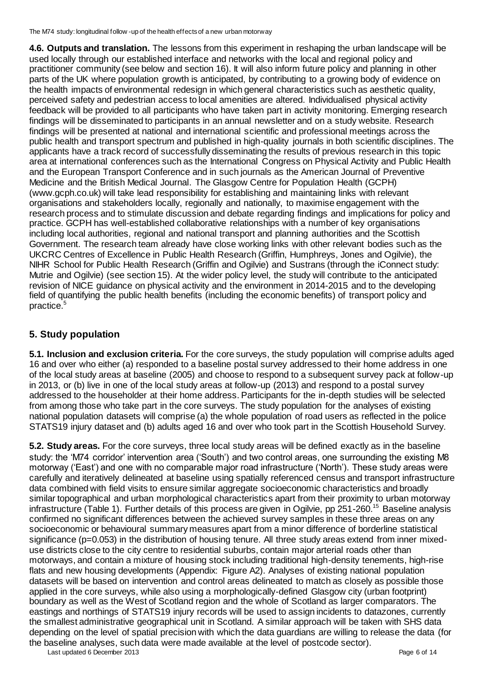**4.6. Outputs and translation.** The lessons from this experiment in reshaping the urban landscape will be used locally through our established interface and networks with the local and regional policy and practitioner community (see below and section 16). It will also inform future policy and planning in other parts of the UK where population growth is anticipated, by contributing to a growing body of evidence on the health impacts of environmental redesign in which general characteristics such as aesthetic quality, perceived safety and pedestrian access to local amenities are altered. Individualised physical activity feedback will be provided to all participants who have taken part in activity monitoring. Emerging research findings will be disseminated to participants in an annual newsletter and on a study website. Research findings will be presented at national and international scientific and professional meetings across the public health and transport spectrum and published in high-quality journals in both scientific disciplines. The applicants have a track record of successfully disseminating the results of previous research in this topic area at international conferences such as the International Congress on Physical Activity and Public Health and the European Transport Conference and in such journals as the American Journal of Preventive Medicine and the British Medical Journal. The Glasgow Centre for Population Health (GCPH) (www.gcph.co.uk) will take lead responsibility for establishing and maintaining links with relevant organisations and stakeholders locally, regionally and nationally, to maximise engagement with the research process and to stimulate discussion and debate regarding findings and implications for policy and practice. GCPH has well-established collaborative relationships with a number of key organisations including local authorities, regional and national transport and planning authorities and the Scottish Government. The research team already have close working links with other relevant bodies such as the UKCRC Centres of Excellence in Public Health Research (Griffin, Humphreys, Jones and Ogilvie), the NIHR School for Public Health Research (Griffin and Ogilvie) and Sustrans (through the iConnect study: Mutrie and Ogilvie) (see section 15). At the wider policy level, the study will contribute to the anticipated revision of NICE guidance on physical activity and the environment in 2014-2015 and to the developing field of quantifying the public health benefits (including the economic benefits) of transport policy and practice. 5

## **5. Study population**

**5.1. Inclusion and exclusion criteria.** For the core surveys, the study population will comprise adults aged 16 and over who either (a) responded to a baseline postal survey addressed to their home address in one of the local study areas at baseline (2005) and choose to respond to a subsequent survey pack at follow-up in 2013, or (b) live in one of the local study areas at follow-up (2013) and respond to a postal survey addressed to the householder at their home address. Participants for the in-depth studies will be selected from among those who take part in the core surveys. The study population for the analyses of existing national population datasets will comprise (a) the whole population of road users as reflected in the police STATS19 injury dataset and (b) adults aged 16 and over who took part in the Scottish Household Survey.

**5.2. Study areas.** For the core surveys, three local study areas will be defined exactly as in the baseline study: the 'M74 corridor' intervention area ('South') and two control areas, one surrounding the existing M8 motorway ('East') and one with no comparable major road infrastructure ('North'). These study areas were carefully and iteratively delineated at baseline using spatially referenced census and transport infrastructure data combined with field visits to ensure similar aggregate socioeconomic characteristics and broadly similar topographical and urban morphological characteristics apart from their proximity to urban motorway infrastructure (Table 1). Further details of this process are given in Ogilvie, pp 251-260.<sup>15</sup> Baseline analysis confirmed no significant differences between the achieved survey samples in these three areas on any socioeconomic or behavioural summary measures apart from a minor difference of borderline statistical significance (p=0.053) in the distribution of housing tenure. All three study areas extend from inner mixeduse districts close to the city centre to residential suburbs, contain major arterial roads other than motorways, and contain a mixture of housing stock including traditional high-density tenements, high-rise flats and new housing developments (Appendix: Figure A2). Analyses of existing national population datasets will be based on intervention and control areas delineated to match as closely as possible those applied in the core surveys, while also using a morphologically-defined Glasgow city (urban footprint) boundary as well as the West of Scotland region and the whole of Scotland as larger comparators. The eastings and northings of STATS19 injury records will be used to assign incidents to datazones, currently the smallest administrative geographical unit in Scotland. A similar approach will be taken with SHS data depending on the level of spatial precision with which the data guardians are willing to release the data (for the baseline analyses, such data were made available at the level of postcode sector).

Last updated 6 December 2013 **Page 6 of 14** Page 6 of 14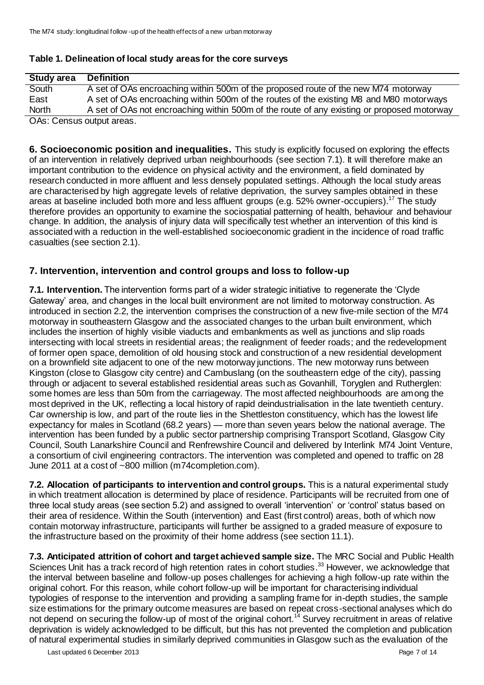#### **Table 1. Delineation of local study areas for the core surveys**

| <b>Study area</b>                                                                                                                                                                                                                                                                                                                                                                 | <b>Definition</b>                                                                          |
|-----------------------------------------------------------------------------------------------------------------------------------------------------------------------------------------------------------------------------------------------------------------------------------------------------------------------------------------------------------------------------------|--------------------------------------------------------------------------------------------|
| South                                                                                                                                                                                                                                                                                                                                                                             | A set of OAs encroaching within 500m of the proposed route of the new M74 motorway         |
| East                                                                                                                                                                                                                                                                                                                                                                              | A set of OAs encroaching within 500m of the routes of the existing M8 and M80 motorways    |
| <b>North</b>                                                                                                                                                                                                                                                                                                                                                                      | A set of OAs not encroaching within 500m of the route of any existing or proposed motorway |
| $\bigcap$ $\bigcap$ $\bigcap$ $\bigcap$ $\bigcap$ $\bigcap$ $\bigcap$ $\bigcap$ $\bigcap$ $\bigcap$ $\bigcap$ $\bigcap$ $\bigcap$ $\bigcap$ $\bigcap$ $\bigcap$ $\bigcap$ $\bigcap$ $\bigcap$ $\bigcap$ $\bigcap$ $\bigcap$ $\bigcap$ $\bigcap$ $\bigcap$ $\bigcap$ $\bigcap$ $\bigcap$ $\bigcap$ $\bigcap$ $\bigcap$ $\bigcap$ $\bigcap$ $\bigcap$ $\bigcap$ $\bigcap$ $\bigcap$ |                                                                                            |

OAs: Census output areas.

**6. Socioeconomic position and inequalities.** This study is explicitly focused on exploring the effects of an intervention in relatively deprived urban neighbourhoods (see section 7.1). It will therefore make an important contribution to the evidence on physical activity and the environment, a field dominated by research conducted in more affluent and less densely populated settings. Although the local study areas are characterised by high aggregate levels of relative deprivation, the survey samples obtained in these areas at baseline included both more and less affluent groups (e.g. 52% owner-occupiers).<sup>17</sup> The study therefore provides an opportunity to examine the sociospatial patterning of health, behaviour and behaviour change. In addition, the analysis of injury data will specifically test whether an intervention of this kind is associated with a reduction in the well-established socioeconomic gradient in the incidence of road traffic casualties (see section 2.1).

### **7. Intervention, intervention and control groups and loss to follow-up**

**7.1. Intervention.** The intervention forms part of a wider strategic initiative to regenerate the 'Clyde Gateway' area, and changes in the local built environment are not limited to motorway construction. As introduced in section 2.2, the intervention comprises the construction of a new five-mile section of the M74 motorway in southeastern Glasgow and the associated changes to the urban built environment, which includes the insertion of highly visible viaducts and embankments as well as junctions and slip roads intersecting with local streets in residential areas; the realignment of feeder roads; and the redevelopment of former open space, demolition of old housing stock and construction of a new residential development on a brownfield site adjacent to one of the new motorway junctions. The new motorway runs between Kingston (close to Glasgow city centre) and Cambuslang (on the southeastern edge of the city), passing through or adjacent to several established residential areas such as Govanhill, Toryglen and Rutherglen: some homes are less than 50m from the carriageway. The most affected neighbourhoods are among the most deprived in the UK, reflecting a local history of rapid deindustrialisation in the late twentieth century. Car ownership is low, and part of the route lies in the Shettleston constituency, which has the lowest life expectancy for males in Scotland (68.2 years) — more than seven years below the national average. The intervention has been funded by a public sector partnership comprising Transport Scotland, Glasgow City Council, South Lanarkshire Council and Renfrewshire Council and delivered by Interlink M74 Joint Venture, a consortium of civil engineering contractors. The intervention was completed and opened to traffic on 28 June 2011 at a cost of ~800 million (m74completion.com).

**7.2. Allocation of participants to intervention and control groups.** This is a natural experimental study in which treatment allocation is determined by place of residence. Participants will be recruited from one of three local study areas (see section 5.2) and assigned to overall 'intervention' or 'control' status based on their area of residence. Within the South (intervention) and East (first control) areas, both of which now contain motorway infrastructure, participants will further be assigned to a graded measure of exposure to the infrastructure based on the proximity of their home address (see section 11.1).

**7.3. Anticipated attrition of cohort and target achieved sample size.** The MRC Social and Public Health Sciences Unit has a track record of high retention rates in cohort studies.<sup>33</sup> However, we acknowledge that the interval between baseline and follow-up poses challenges for achieving a high follow-up rate within the original cohort. For this reason, while cohort follow-up will be important for characterising individual typologies of response to the intervention and providing a sampling frame for in-depth studies, the sample size estimations for the primary outcome measures are based on repeat cross-sectional analyses which do not depend on securing the follow-up of most of the original cohort.<sup>14</sup> Survey recruitment in areas of relative deprivation is widely acknowledged to be difficult, but this has not prevented the completion and publication of natural experimental studies in similarly deprived communities in Glasgow such as the evaluation of the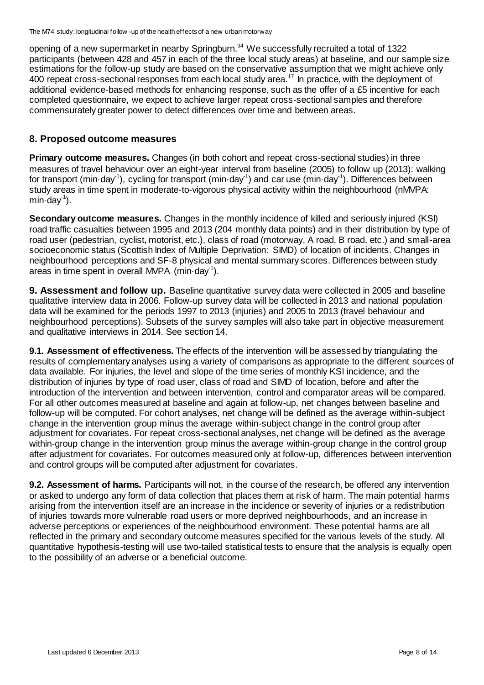opening of a new supermarket in nearby Springburn.<sup>34</sup> We successfully recruited a total of 1322 participants (between 428 and 457 in each of the three local study areas) at baseline, and our sample size estimations for the follow-up study are based on the conservative assumption that we might achieve only 400 repeat cross-sectional responses from each local study area.<sup>17</sup> In practice, with the deployment of additional evidence-based methods for enhancing response, such as the offer of a £5 incentive for each completed questionnaire, we expect to achieve larger repeat cross-sectional samples and therefore commensurately greater power to detect differences over time and between areas.

### **8. Proposed outcome measures**

**Primary outcome measures.** Changes (in both cohort and repeat cross-sectional studies) in three measures of travel behaviour over an eight-year interval from baseline (2005) to follow up (2013): walking for transport (min·day<sup>-1</sup>), cycling for transport (min·day<sup>-1</sup>) and car use (min·day<sup>-1</sup>). Differences between study areas in time spent in moderate-to-vigorous physical activity within the neighbourhood (nMVPA: min $\cdot$ day $\cdot$ <sup>1</sup>).

**Secondary outcome measures.** Changes in the monthly incidence of killed and seriously injured (KSI) road traffic casualties between 1995 and 2013 (204 monthly data points) and in their distribution by type of road user (pedestrian, cyclist, motorist, etc.), class of road (motorway, A road, B road, etc.) and small-area socioeconomic status (Scottish Index of Multiple Deprivation: SIMD) of location of incidents. Changes in neighbourhood perceptions and SF-8 physical and mental summary scores. Differences between study areas in time spent in overall MVPA (min $\cdot$ day<sup>-1</sup>).

**9. Assessment and follow up.** Baseline quantitative survey data were collected in 2005 and baseline qualitative interview data in 2006. Follow-up survey data will be collected in 2013 and national population data will be examined for the periods 1997 to 2013 (injuries) and 2005 to 2013 (travel behaviour and neighbourhood perceptions). Subsets of the survey samples will also take part in objective measurement and qualitative interviews in 2014. See section 14.

**9.1. Assessment of effectiveness.** The effects of the intervention will be assessed by triangulating the results of complementary analyses using a variety of comparisons as appropriate to the different sources of data available. For injuries, the level and slope of the time series of monthly KSI incidence, and the distribution of injuries by type of road user, class of road and SIMD of location, before and after the introduction of the intervention and between intervention, control and comparator areas will be compared. For all other outcomes measured at baseline and again at follow-up, net changes between baseline and follow-up will be computed. For cohort analyses, net change will be defined as the average within-subject change in the intervention group minus the average within-subject change in the control group after adjustment for covariates. For repeat cross-sectional analyses, net change will be defined as the average within-group change in the intervention group minus the average within-group change in the control group after adjustment for covariates. For outcomes measured only at follow-up, differences between intervention and control groups will be computed after adjustment for covariates.

**9.2. Assessment of harms.** Participants will not, in the course of the research, be offered any intervention or asked to undergo any form of data collection that places them at risk of harm. The main potential harms arising from the intervention itself are an increase in the incidence or severity of injuries or a redistribution of injuries towards more vulnerable road users or more deprived neighbourhoods, and an increase in adverse perceptions or experiences of the neighbourhood environment. These potential harms are all reflected in the primary and secondary outcome measures specified for the various levels of the study. All quantitative hypothesis-testing will use two-tailed statistical tests to ensure that the analysis is equally open to the possibility of an adverse or a beneficial outcome.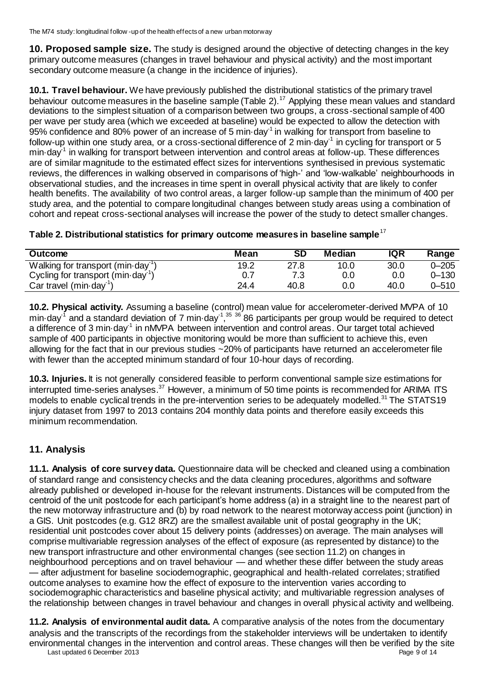**10. Proposed sample size.** The study is designed around the objective of detecting changes in the key primary outcome measures (changes in travel behaviour and physical activity) and the most important secondary outcome measure (a change in the incidence of injuries).

**10.1. Travel behaviour.** We have previously published the distributional statistics of the primary travel behaviour outcome measures in the baseline sample (Table 2).<sup>17</sup> Applying these mean values and standard deviations to the simplest situation of a comparison between two groups, a cross-sectional sample of 400 per wave per study area (which we exceeded at baseline) would be expected to allow the detection with 95% confidence and 80% power of an increase of 5 min $\cdot$ day<sup>-1</sup> in walking for transport from baseline to follow-up within one study area, or a cross-sectional difference of 2 min $\cdot$ day $^{\text{-}1}$  in cycling for transport or 5 min·day<sup>-1</sup> in walking for transport between intervention and control areas at follow-up. These differences are of similar magnitude to the estimated effect sizes for interventions synthesised in previous systematic reviews, the differences in walking observed in comparisons of 'high-' and 'low-walkable' neighbourhoods in observational studies, and the increases in time spent in overall physical activity that are likely to confer health benefits. The availability of two control areas, a larger follow-up sample than the minimum of 400 per study area, and the potential to compare longitudinal changes between study areas using a combination of cohort and repeat cross-sectional analyses will increase the power of the study to detect smaller changes.

|  | Table 2. Distributional statistics for primary outcome measures in baseline sample <sup>17</sup> |  |  |  |
|--|--------------------------------------------------------------------------------------------------|--|--|--|
|--|--------------------------------------------------------------------------------------------------|--|--|--|

| <b>Outcome</b>                                       | Mean | SD   | Median | <b>IQR</b> | Range     |
|------------------------------------------------------|------|------|--------|------------|-----------|
| Walking for transport (min-day <sup>-1</sup>         | 19.2 | 27.8 | 10.0   | 30.0       | $0 - 205$ |
| Cycling for transport (min $\cdot$ day <sup>-1</sup> |      |      | 0.0    | 0.0        | $0 - 130$ |
| Car travel $(min\cdot\text{day}^{\text{T}})$         | 24.4 | 40.8 | 0.0    | 40.0       | $0 - 510$ |

**10.2. Physical activity.** Assuming a baseline (control) mean value for accelerometer-derived MVPA of 10 min·day<sup>-1</sup> and a standard deviation of 7 min·day<sup>-1</sup>,<sup>35 36</sup> 86 participants per group would be required to detect a difference of 3 min·day<sup>-1</sup> in nMVPA between intervention and control areas. Our target total achieved sample of 400 participants in objective monitoring would be more than sufficient to achieve this, even allowing for the fact that in our previous studies ~20% of participants have returned an accelerometer file with fewer than the accepted minimum standard of four 10-hour days of recording.

**10.3. Injuries.** It is not generally considered feasible to perform conventional sample size estimations for interrupted time-series analyses.<sup>37</sup> However, a minimum of 50 time points is recommended for ARIMA ITS models to enable cyclical trends in the pre-intervention series to be adequately modelled.<sup>31</sup> The STATS19 injury dataset from 1997 to 2013 contains 204 monthly data points and therefore easily exceeds this minimum recommendation.

## **11. Analysis**

**11.1. Analysis of core survey data.** Questionnaire data will be checked and cleaned using a combination of standard range and consistency checks and the data cleaning procedures, algorithms and software already published or developed in-house for the relevant instruments. Distances will be computed from the centroid of the unit postcode for each participant's home address (a) in a straight line to the nearest part of the new motorway infrastructure and (b) by road network to the nearest motorway access point (junction) in a GIS. Unit postcodes (e.g. G12 8RZ) are the smallest available unit of postal geography in the UK; residential unit postcodes cover about 15 delivery points (addresses) on average. The main analyses will comprise multivariable regression analyses of the effect of exposure (as represented by distance) to the new transport infrastructure and other environmental changes (see section 11.2) on changes in neighbourhood perceptions and on travel behaviour — and whether these differ between the study areas — after adjustment for baseline sociodemographic, geographical and health-related correlates; stratified outcome analyses to examine how the effect of exposure to the intervention varies according to sociodemographic characteristics and baseline physical activity; and multivariable regression analyses of the relationship between changes in travel behaviour and changes in overall physical activity and wellbeing.

Last updated 6 December 2013 **Page 9 of 14** Page 9 of 14 **11.2. Analysis of environmental audit data.** A comparative analysis of the notes from the documentary analysis and the transcripts of the recordings from the stakeholder interviews will be undertaken to identify environmental changes in the intervention and control areas. These changes will then be verified by the site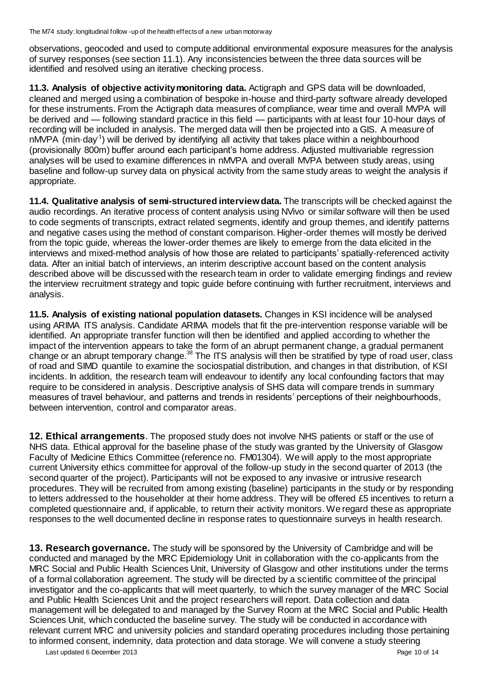observations, geocoded and used to compute additional environmental exposure measures for the analysis of survey responses (see section 11.1). Any inconsistencies between the three data sources will be identified and resolved using an iterative checking process.

**11.3. Analysis of objective activity monitoring data.** Actigraph and GPS data will be downloaded, cleaned and merged using a combination of bespoke in-house and third-party software already developed for these instruments. From the Actigraph data measures of compliance, wear time and overall MVPA will be derived and — following standard practice in this field — participants with at least four 10-hour days of recording will be included in analysis. The merged data will then be projected into a GIS. A measure of nMVPA (min·day<sup>-1</sup>) will be derived by identifying all activity that takes place within a neighbourhood (provisionally 800m) buffer around each participant's home address. Adjusted multivariable regression analyses will be used to examine differences in nMVPA and overall MVPA between study areas, using baseline and follow-up survey data on physical activity from the same study areas to weight the analysis if appropriate.

**11.4. Qualitative analysis of semi-structured interview data.** The transcripts will be checked against the audio recordings. An iterative process of content analysis using NVivo or similar software will then be used to code segments of transcripts, extract related segments, identify and group themes, and identify patterns and negative cases using the method of constant comparison. Higher-order themes will mostly be derived from the topic guide, whereas the lower-order themes are likely to emerge from the data elicited in the interviews and mixed-method analysis of how those are related to participants' spatially-referenced activity data. After an initial batch of interviews, an interim descriptive account based on the content analysis described above will be discussed with the research team in order to validate emerging findings and review the interview recruitment strategy and topic guide before continuing with further recruitment, interviews and analysis.

**11.5. Analysis of existing national population datasets.** Changes in KSI incidence will be analysed using ARIMA ITS analysis. Candidate ARIMA models that fit the pre-intervention response variable will be identified. An appropriate transfer function will then be identified and applied according to whether the impact of the intervention appears to take the form of an abrupt permanent change, a gradual permanent change or an abrupt temporary change.<sup>38</sup> The ITS analysis will then be stratified by type of road user, class of road and SIMD quantile to examine the sociospatial distribution, and changes in that distribution, of KSI incidents. In addition, the research team will endeavour to identify any local confounding factors that may require to be considered in analysis. Descriptive analysis of SHS data will compare trends in summary measures of travel behaviour, and patterns and trends in residents' perceptions of their neighbourhoods, between intervention, control and comparator areas.

**12. Ethical arrangements**. The proposed study does not involve NHS patients or staff or the use of NHS data. Ethical approval for the baseline phase of the study was granted by the University of Glasgow Faculty of Medicine Ethics Committee (reference no. FM01304). We will apply to the most appropriate current University ethics committee for approval of the follow-up study in the second quarter of 2013 (the second quarter of the project). Participants will not be exposed to any invasive or intrusive research procedures. They will be recruited from among existing (baseline) participants in the study or by responding to letters addressed to the householder at their home address. They will be offered £5 incentives to return a completed questionnaire and, if applicable, to return their activity monitors. We regard these as appropriate responses to the well documented decline in response rates to questionnaire surveys in health research.

**13. Research governance.** The study will be sponsored by the University of Cambridge and will be conducted and managed by the MRC Epidemiology Unit in collaboration with the co-applicants from the MRC Social and Public Health Sciences Unit, University of Glasgow and other institutions under the terms of a formal collaboration agreement. The study will be directed by a scientific committee of the principal investigator and the co-applicants that will meet quarterly, to which the survey manager of the MRC Social and Public Health Sciences Unit and the project researchers will report. Data collection and data management will be delegated to and managed by the Survey Room at the MRC Social and Public Health Sciences Unit, which conducted the baseline survey. The study will be conducted in accordance with relevant current MRC and university policies and standard operating procedures including those pertaining to informed consent, indemnity, data protection and data storage. We will convene a study steering

Last updated 6 December 2013 **Page 10 of 14** and the set of the set of the set of the set of the set of the set of the set of the set of the set of the set of the set of the set of the set of the set of the set of the set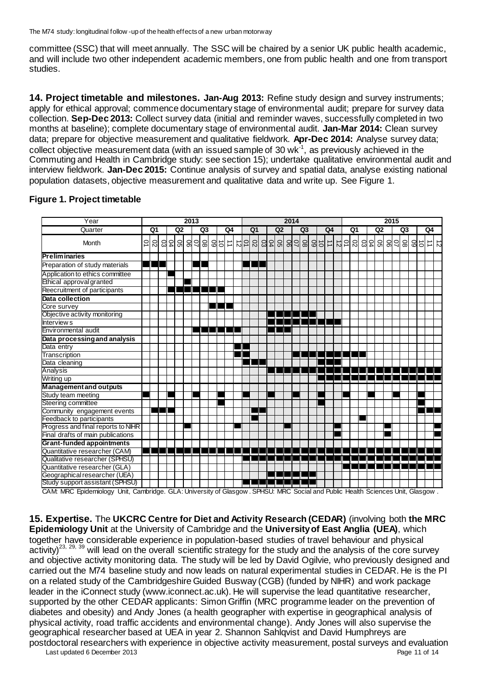The M74 study: longitudinal follow -up of the health effects of a new urban motorway

committee (SSC) that will meet annually. The SSC will be chaired by a senior UK public health academic, and will include two other independent academic members, one from public health and one from transport studies.

**14. Project timetable and milestones. Jan-Aug 2013:** Refine study design and survey instruments; apply for ethical approval; commence documentary stage of environmental audit; prepare for survey data collection. **Sep-Dec 2013:** Collect survey data (initial and reminder waves, successfully completed in two months at baseline); complete documentary stage of environmental audit. **Jan-Mar 2014:** Clean survey data; prepare for objective measurement and qualitative fieldwork. **Apr-Dec 2014:** Analyse survey data; collect objective measurement data (with an issued sample of 30 wk<sup>-1</sup>, as previously achieved in the Commuting and Health in Cambridge study: see section 15); undertake qualitative environmental audit and interview fieldwork. **Jan-Dec 2015:** Continue analysis of survey and spatial data, analyse existing national population datasets, objective measurement and qualitative data and write up. See Figure 1.

| Q <sub>2</sub><br>Quarter<br>Q1<br>Q <sub>3</sub><br>Q4<br>Q <sub>1</sub><br>Q <sub>2</sub><br>Q <sub>3</sub><br>Q4<br>Q1<br>Q <sub>2</sub><br>Q3<br>Q4<br>8388<br>$\overline{C}$<br>ō<br>$\mathcal{L}$<br>D4<br><u>ଖ ଅଣ୍ଡା</u><br>임의<br>$\ensuremath{\rightrightarrows}$<br>$\frac{5}{2}$<br>영침임<br>$\mathcal{S}$<br>25<br> 읽 읭김  <br>ස<br>总<br>$\vec{0}$<br>$\overrightarrow{a}$<br>8<br>Month<br>$\vec{z}$<br>ਠੋ<br>⇉<br>$\vec{z}$<br>Progress and final reports to NIHR | Year                              | 2013 |  |  |  |  |  |  |  |  |  |  | 2014 |  |  |  |  |  |  |  |  |  |  |  | 2015 |  |  |  |  |  |  |  |  |  |  |  |  |
|-----------------------------------------------------------------------------------------------------------------------------------------------------------------------------------------------------------------------------------------------------------------------------------------------------------------------------------------------------------------------------------------------------------------------------------------------------------------------------|-----------------------------------|------|--|--|--|--|--|--|--|--|--|--|------|--|--|--|--|--|--|--|--|--|--|--|------|--|--|--|--|--|--|--|--|--|--|--|--|
|                                                                                                                                                                                                                                                                                                                                                                                                                                                                             |                                   |      |  |  |  |  |  |  |  |  |  |  |      |  |  |  |  |  |  |  |  |  |  |  |      |  |  |  |  |  |  |  |  |  |  |  |  |
|                                                                                                                                                                                                                                                                                                                                                                                                                                                                             |                                   |      |  |  |  |  |  |  |  |  |  |  |      |  |  |  |  |  |  |  |  |  |  |  |      |  |  |  |  |  |  |  |  |  |  |  |  |
|                                                                                                                                                                                                                                                                                                                                                                                                                                                                             | <b>Preliminaries</b>              |      |  |  |  |  |  |  |  |  |  |  |      |  |  |  |  |  |  |  |  |  |  |  |      |  |  |  |  |  |  |  |  |  |  |  |  |
|                                                                                                                                                                                                                                                                                                                                                                                                                                                                             | Preparation of study materials    |      |  |  |  |  |  |  |  |  |  |  |      |  |  |  |  |  |  |  |  |  |  |  |      |  |  |  |  |  |  |  |  |  |  |  |  |
|                                                                                                                                                                                                                                                                                                                                                                                                                                                                             | Application to ethics committee   |      |  |  |  |  |  |  |  |  |  |  |      |  |  |  |  |  |  |  |  |  |  |  |      |  |  |  |  |  |  |  |  |  |  |  |  |
|                                                                                                                                                                                                                                                                                                                                                                                                                                                                             | Ethical approval granted          |      |  |  |  |  |  |  |  |  |  |  |      |  |  |  |  |  |  |  |  |  |  |  |      |  |  |  |  |  |  |  |  |  |  |  |  |
|                                                                                                                                                                                                                                                                                                                                                                                                                                                                             | Reecruitment of participants      |      |  |  |  |  |  |  |  |  |  |  |      |  |  |  |  |  |  |  |  |  |  |  |      |  |  |  |  |  |  |  |  |  |  |  |  |
|                                                                                                                                                                                                                                                                                                                                                                                                                                                                             | Data collection                   |      |  |  |  |  |  |  |  |  |  |  |      |  |  |  |  |  |  |  |  |  |  |  |      |  |  |  |  |  |  |  |  |  |  |  |  |
|                                                                                                                                                                                                                                                                                                                                                                                                                                                                             | Core survey                       |      |  |  |  |  |  |  |  |  |  |  |      |  |  |  |  |  |  |  |  |  |  |  |      |  |  |  |  |  |  |  |  |  |  |  |  |
|                                                                                                                                                                                                                                                                                                                                                                                                                                                                             | Objective activity monitoring     |      |  |  |  |  |  |  |  |  |  |  |      |  |  |  |  |  |  |  |  |  |  |  |      |  |  |  |  |  |  |  |  |  |  |  |  |
|                                                                                                                                                                                                                                                                                                                                                                                                                                                                             | Interview s                       |      |  |  |  |  |  |  |  |  |  |  |      |  |  |  |  |  |  |  |  |  |  |  |      |  |  |  |  |  |  |  |  |  |  |  |  |
|                                                                                                                                                                                                                                                                                                                                                                                                                                                                             | Environmental audit               |      |  |  |  |  |  |  |  |  |  |  |      |  |  |  |  |  |  |  |  |  |  |  |      |  |  |  |  |  |  |  |  |  |  |  |  |
|                                                                                                                                                                                                                                                                                                                                                                                                                                                                             | Data processing and analysis      |      |  |  |  |  |  |  |  |  |  |  |      |  |  |  |  |  |  |  |  |  |  |  |      |  |  |  |  |  |  |  |  |  |  |  |  |
|                                                                                                                                                                                                                                                                                                                                                                                                                                                                             | Data entry                        |      |  |  |  |  |  |  |  |  |  |  |      |  |  |  |  |  |  |  |  |  |  |  |      |  |  |  |  |  |  |  |  |  |  |  |  |
|                                                                                                                                                                                                                                                                                                                                                                                                                                                                             | Transcription                     |      |  |  |  |  |  |  |  |  |  |  |      |  |  |  |  |  |  |  |  |  |  |  |      |  |  |  |  |  |  |  |  |  |  |  |  |
|                                                                                                                                                                                                                                                                                                                                                                                                                                                                             | Data cleaning                     |      |  |  |  |  |  |  |  |  |  |  |      |  |  |  |  |  |  |  |  |  |  |  |      |  |  |  |  |  |  |  |  |  |  |  |  |
|                                                                                                                                                                                                                                                                                                                                                                                                                                                                             | Analysis                          |      |  |  |  |  |  |  |  |  |  |  |      |  |  |  |  |  |  |  |  |  |  |  |      |  |  |  |  |  |  |  |  |  |  |  |  |
|                                                                                                                                                                                                                                                                                                                                                                                                                                                                             | Writing up                        |      |  |  |  |  |  |  |  |  |  |  |      |  |  |  |  |  |  |  |  |  |  |  |      |  |  |  |  |  |  |  |  |  |  |  |  |
|                                                                                                                                                                                                                                                                                                                                                                                                                                                                             | <b>Management and outputs</b>     |      |  |  |  |  |  |  |  |  |  |  |      |  |  |  |  |  |  |  |  |  |  |  |      |  |  |  |  |  |  |  |  |  |  |  |  |
|                                                                                                                                                                                                                                                                                                                                                                                                                                                                             | Study team meeting                |      |  |  |  |  |  |  |  |  |  |  |      |  |  |  |  |  |  |  |  |  |  |  |      |  |  |  |  |  |  |  |  |  |  |  |  |
|                                                                                                                                                                                                                                                                                                                                                                                                                                                                             | Steering committee                |      |  |  |  |  |  |  |  |  |  |  |      |  |  |  |  |  |  |  |  |  |  |  |      |  |  |  |  |  |  |  |  |  |  |  |  |
|                                                                                                                                                                                                                                                                                                                                                                                                                                                                             | Community engagement events       |      |  |  |  |  |  |  |  |  |  |  |      |  |  |  |  |  |  |  |  |  |  |  |      |  |  |  |  |  |  |  |  |  |  |  |  |
|                                                                                                                                                                                                                                                                                                                                                                                                                                                                             | Feedback to participants          |      |  |  |  |  |  |  |  |  |  |  |      |  |  |  |  |  |  |  |  |  |  |  |      |  |  |  |  |  |  |  |  |  |  |  |  |
|                                                                                                                                                                                                                                                                                                                                                                                                                                                                             |                                   |      |  |  |  |  |  |  |  |  |  |  |      |  |  |  |  |  |  |  |  |  |  |  |      |  |  |  |  |  |  |  |  |  |  |  |  |
|                                                                                                                                                                                                                                                                                                                                                                                                                                                                             | Final drafts of main publications |      |  |  |  |  |  |  |  |  |  |  |      |  |  |  |  |  |  |  |  |  |  |  |      |  |  |  |  |  |  |  |  |  |  |  |  |
|                                                                                                                                                                                                                                                                                                                                                                                                                                                                             | Grant-funded appointments         |      |  |  |  |  |  |  |  |  |  |  |      |  |  |  |  |  |  |  |  |  |  |  |      |  |  |  |  |  |  |  |  |  |  |  |  |
|                                                                                                                                                                                                                                                                                                                                                                                                                                                                             | Quantitative researcher (CAM)     |      |  |  |  |  |  |  |  |  |  |  |      |  |  |  |  |  |  |  |  |  |  |  |      |  |  |  |  |  |  |  |  |  |  |  |  |
|                                                                                                                                                                                                                                                                                                                                                                                                                                                                             | Qualitative researcher (SPHSU)    |      |  |  |  |  |  |  |  |  |  |  |      |  |  |  |  |  |  |  |  |  |  |  |      |  |  |  |  |  |  |  |  |  |  |  |  |
|                                                                                                                                                                                                                                                                                                                                                                                                                                                                             | Quantitative researcher (GLA)     |      |  |  |  |  |  |  |  |  |  |  |      |  |  |  |  |  |  |  |  |  |  |  |      |  |  |  |  |  |  |  |  |  |  |  |  |
|                                                                                                                                                                                                                                                                                                                                                                                                                                                                             | Geographical researcher (UEA)     |      |  |  |  |  |  |  |  |  |  |  |      |  |  |  |  |  |  |  |  |  |  |  |      |  |  |  |  |  |  |  |  |  |  |  |  |
| $Q_{1}$ , $M_{1}$ , $Q_{2}$ , $L_{2}$ , $L_{3}$ , $L_{4}$ , $L_{5}$ , $L_{5}$ , $L_{6}$ , $L_{7}$ , $L_{7}$ , $L_{8}$ , $L_{1}$ , $L_{1}$ , $L_{2}$ , $L_{3}$ , $L_{4}$ , $L_{5}$                                                                                                                                                                                                                                                                                           | Study support assistant (SPHSU)   |      |  |  |  |  |  |  |  |  |  |  |      |  |  |  |  |  |  |  |  |  |  |  |      |  |  |  |  |  |  |  |  |  |  |  |  |

#### **Figure 1. Project timetable**

CAM: MRC Epidemiology Unit, Cambridge. GLA: University of Glasgow . SPHSU: MRC Social and Public Health Sciences Unit, Glasgow .

**15. Expertise.** The **UKCRC Centre for Diet and Activity Research (CEDAR)** (involving both **the MRC Epidemiology Unit** at the University of Cambridge and the **University of East Anglia (UEA)**, which together have considerable experience in population-based studies of travel behaviour and physical  $\arct{activity}^{23, 29, 39}$  will lead on the overall scientific strategy for the study and the analysis of the core survey and objective activity monitoring data. The study will be led by David Ogilvie, who previously designed and carried out the M74 baseline study and now leads on natural experimental studies in CEDAR. He is the PI on a related study of the Cambridgeshire Guided Busway (CGB) (funded by NIHR) and work package leader in the iConnect study (www.iconnect.ac.uk). He will supervise the lead quantitative researcher, supported by the other CEDAR applicants: Simon Griffin (MRC programme leader on the prevention of diabetes and obesity) and Andy Jones (a health geographer with expertise in geographical analysis of physical activity, road traffic accidents and environmental change). Andy Jones will also supervise the geographical researcher based at UEA in year 2. Shannon Sahlqvist and David Humphreys are postdoctoral researchers with experience in objective activity measurement, postal surveys and evaluation

Last updated 6 December 2013 **Page 11 of 14** December 2013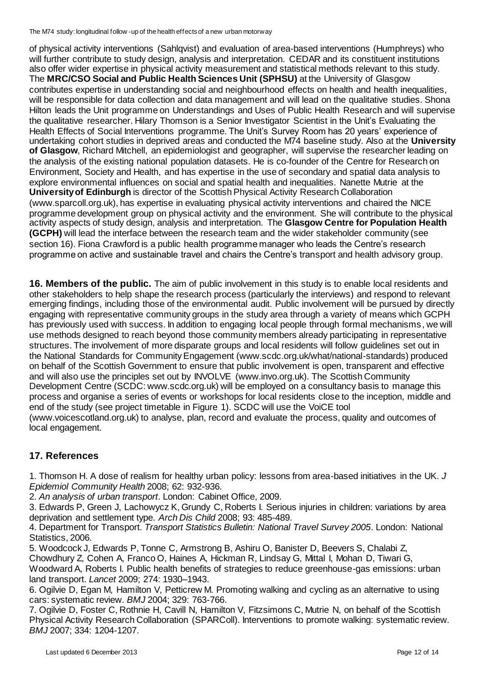The M74 study: longitudinal follow -up of the health effects of a new urban motorway

of physical activity interventions (Sahlqvist) and evaluation of area-based interventions (Humphreys) who will further contribute to study design, analysis and interpretation. CEDAR and its constituent institutions also offer wider expertise in physical activity measurement and statistical methods relevant to this study. The **MRC/CSO Social and Public Health Sciences Unit (SPHSU)** at the University of Glasgow contributes expertise in understanding social and neighbourhood effects on health and health inequalities, will be responsible for data collection and data management and will lead on the qualitative studies. Shona Hilton leads the Unit programme on [Understandings and Uses of Public Health Research](http://www.sphsu.mrc.ac.uk/research-programmes/) and will supervise the qualitative researcher. Hilary Thomson is a Senior Investigator Scientist in the Unit's [Evaluating the](http://www.sphsu.mrc.ac.uk/research-programmes/ev/)  [Health Effects of Social Interventions](http://www.sphsu.mrc.ac.uk/research-programmes/ev/) programme. The Unit's Survey Room has 20 years' experience of undertaking cohort studies in deprived areas and conducted the M74 baseline study. Also at the **University of Glasgow**, Richard Mitchell, an epidemiologist and geographer, will supervise the researcher leading on the analysis of the existing national population datasets. He is co-founder of the Centre for Research on Environment, Society and Health, and has expertise in the use of secondary and spatial data analysis to explore environmental influences on social and spatial health and inequalities. Nanette Mutrie at the **University of Edinburgh** is director of the Scottish Physical Activity Research Collaboration (www.sparcoll.org.uk), has expertise in evaluating physical activity interventions and chaired the NICE programme development group on physical activity and the environment. She will contribute to the physical activity aspects of study design, analysis and interpretation. The **Glasgow Centre for Population Health (GCPH)** will lead the interface between the research team and the wider stakeholder community (see section 16). Fiona Crawford is a public health programme manager who leads the Centre's research programme on active and sustainable travel and chairs the Centre's transport and health advisory group.

**16. Members of the public.** The aim of public involvement in this study is to enable local residents and other stakeholders to help shape the research process (particularly the interviews) and respond to relevant emerging findings, including those of the environmental audit. Public involvement will be pursued by directly engaging with representative community groups in the study area through a variety of means which GCPH has previously used with success. In addition to engaging local people through formal mechanisms, we will use methods designed to reach beyond those community members already participating in representative structures. The involvement of more disparate groups and local residents will follow guidelines set out in the National Standards for Community Engagement (www.scdc.org.uk/what/national-standards) produced on behalf of the Scottish Government to ensure that public involvement is open, transparent and effective and will also use the principles set out by INVOLVE (www.invo.org.uk). The Scottish Community Development Centre (SCDC: www.scdc.org.uk) will be employed on a consultancy basis to manage this process and organise a series of events or workshops for local residents close to the inception, middle and end of the study (see project timetable in Figure 1). SCDC will use the VoiCE tool (www.voicescotland.org.uk) to analyse, plan, record and evaluate the process, quality and outcomes of local engagement.

# **17. References**

1. Thomson H. A dose of realism for healthy urban policy: lessons from area-based initiatives in the UK. *J Epidemiol Community Health* 2008; 62: 932-936.

2. *An analysis of urban transport*. London: Cabinet Office, 2009.

3. Edwards P, Green J, Lachowycz K, Grundy C, Roberts I. Serious injuries in children: variations by area deprivation and settlement type. *Arch Dis Child* 2008; 93: 485-489.

4. Department for Transport. *Transport Statistics Bulletin: National Travel Survey 2005*. London: National Statistics, 2006.

5. Woodcock J, Edwards P, Tonne C, Armstrong B, Ashiru O, Banister D, Beevers S, Chalabi Z, Chowdhury Z, Cohen A, Franco O, Haines A, Hickman R, Lindsay G, Mittal I, Mohan D, Tiwari G, Woodward A, Roberts I. Public health benefits of strategies to reduce greenhouse-gas emissions: urban land transport. *Lancet* 2009; 274: 1930–1943.

6. Ogilvie D, Egan M, Hamilton V, Petticrew M. Promoting walking and cycling as an alternative to using cars: systematic review. *BMJ* 2004; 329: 763-766.

7. Ogilvie D, Foster C, Rothnie H, Cavill N, Hamilton V, Fitzsimons C, Mutrie N, on behalf of the Scottish Physical Activity Research Collaboration (SPARColl). Interventions to promote walking: systematic review. *BMJ* 2007; 334: 1204-1207.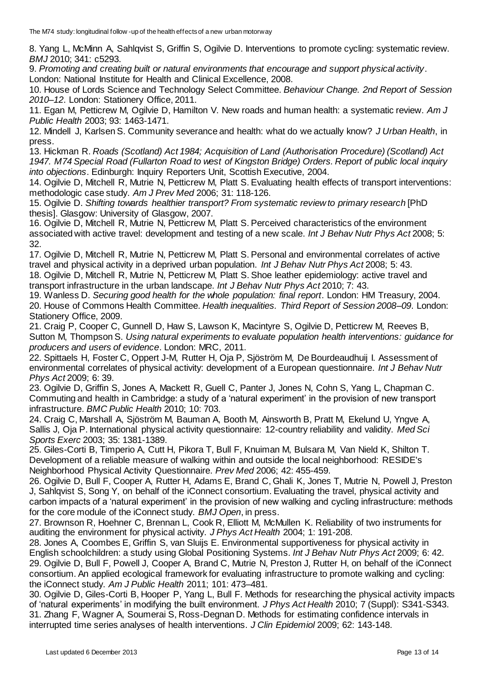8. Yang L, McMinn A, Sahlqvist S, Griffin S, Ogilvie D. Interventions to promote cycling: systematic review. *BMJ* 2010; 341: c5293.

9. *Promoting and creating built or natural environments that encourage and support physical activity*. London: National Institute for Health and Clinical Excellence, 2008.

10. House of Lords Science and Technology Select Committee. *Behaviour Change. 2nd Report of Session 2010–12*. London: Stationery Office, 2011.

11. Egan M, Petticrew M, Ogilvie D, Hamilton V. New roads and human health: a systematic review. *Am J Public Health* 2003; 93: 1463-1471.

12. Mindell J, Karlsen S. Community severance and health: what do we actually know? *J Urban Health*, in press.

13. Hickman R. *Roads (Scotland) Act 1984; Acquisition of Land (Authorisation Procedure) (Scotland) Act 1947. M74 Special Road (Fullarton Road to west of Kingston Bridge) Orders. Report of public local inquiry into objections*. Edinburgh: Inquiry Reporters Unit, Scottish Executive, 2004.

14. Ogilvie D, Mitchell R, Mutrie N, Petticrew M, Platt S. Evaluating health effects of transport interventions: methodologic case study. *Am J Prev Med* 2006; 31: 118-126.

15. Ogilvie D. *Shifting towards healthier transport? From systematic review to primary research* [PhD thesis]. Glasgow: University of Glasgow, 2007.

16. Ogilvie D, Mitchell R, Mutrie N, Petticrew M, Platt S. Perceived characteristics of the environment associated with active travel: development and testing of a new scale. *Int J Behav Nutr Phys Act* 2008; 5: 32.

17. Ogilvie D, Mitchell R, Mutrie N, Petticrew M, Platt S. Personal and environmental correlates of active travel and physical activity in a deprived urban population. *Int J Behav Nutr Phys Act* 2008; 5: 43.

18. Ogilvie D, Mitchell R, Mutrie N, Petticrew M, Platt S. Shoe leather epidemiology: active travel and transport infrastructure in the urban landscape. *Int J Behav Nutr Phys Act* 2010; 7: 43.

19. Wanless D. *Securing good health for the whole population: final report*. London: HM Treasury, 2004. 20. House of Commons Health Committee. *Health inequalities. Third Report of Session 2008–09*. London: Stationery Office, 2009.

21. Craig P, Cooper C, Gunnell D, Haw S, Lawson K, Macintyre S, Ogilvie D, Petticrew M, Reeves B, Sutton M, Thompson S. *Using natural experiments to evaluate population health interventions: guidance for producers and users of evidence*. London: MRC, 2011.

22. Spittaels H, Foster C, Oppert J-M, Rutter H, Oja P, Sjöström M, De Bourdeaudhuij I. Assessment of environmental correlates of physical activity: development of a European questionnaire. *Int J Behav Nutr Phys Act* 2009; 6: 39.

23. Ogilvie D, Griffin S, Jones A, Mackett R, Guell C, Panter J, Jones N, Cohn S, Yang L, Chapman C. Commuting and health in Cambridge: a study of a 'natural experiment' in the provision of new transport infrastructure. *BMC Public Health* 2010; 10: 703.

24. Craig C, Marshall A, Sjöström M, Bauman A, Booth M, Ainsworth B, Pratt M, Ekelund U, Yngve A, Sallis J, Oja P. International physical activity questionnaire: 12-country reliability and validity. *Med Sci Sports Exerc* 2003; 35: 1381-1389.

25. Giles-Corti B, Timperio A, Cutt H, Pikora T, Bull F, Knuiman M, Bulsara M, Van Nield K, Shilton T. Development of a reliable measure of walking within and outside the local neighborhood: RESIDE's Neighborhood Physical Activity Questionnaire. *Prev Med* 2006; 42: 455-459.

26. Ogilvie D, Bull F, Cooper A, Rutter H, Adams E, Brand C, Ghali K, Jones T, Mutrie N, Powell J, Preston J, Sahlqvist S, Song Y, on behalf of the iConnect consortium. Evaluating the travel, physical activity and carbon impacts of a 'natural experiment' in the provision of new walking and cycling infrastructure: methods for the core module of the iConnect study. *BMJ Open*, in press.

27. Brownson R, Hoehner C, Brennan L, Cook R, Elliott M, McMullen K. Reliability of two instruments for auditing the environment for physical activity. *J Phys Act Health* 2004; 1: 191-208.

28. Jones A, Coombes E, Griffin S, van Sluijs E. Environmental supportiveness for physical activity in English schoolchildren: a study using Global Positioning Systems. *Int J Behav Nutr Phys Act* 2009; 6: 42. 29. Ogilvie D, Bull F, Powell J, Cooper A, Brand C, Mutrie N, Preston J, Rutter H, on behalf of the iConnect consortium. An applied ecological framework for evaluating infrastructure to promote walking and cycling: the iConnect study. *Am J Public Health* 2011; 101: 473–481.

30. Ogilvie D, Giles-Corti B, Hooper P, Yang L, Bull F. Methods for researching the physical activity impacts of 'natural experiments' in modifying the built environment. *J Phys Act Health* 2010; 7 (Suppl): S341-S343. 31. Zhang F, Wagner A, Soumerai S, Ross-Degnan D. Methods for estimating confidence intervals in interrupted time series analyses of health interventions. *J Clin Epidemiol* 2009; 62: 143-148.